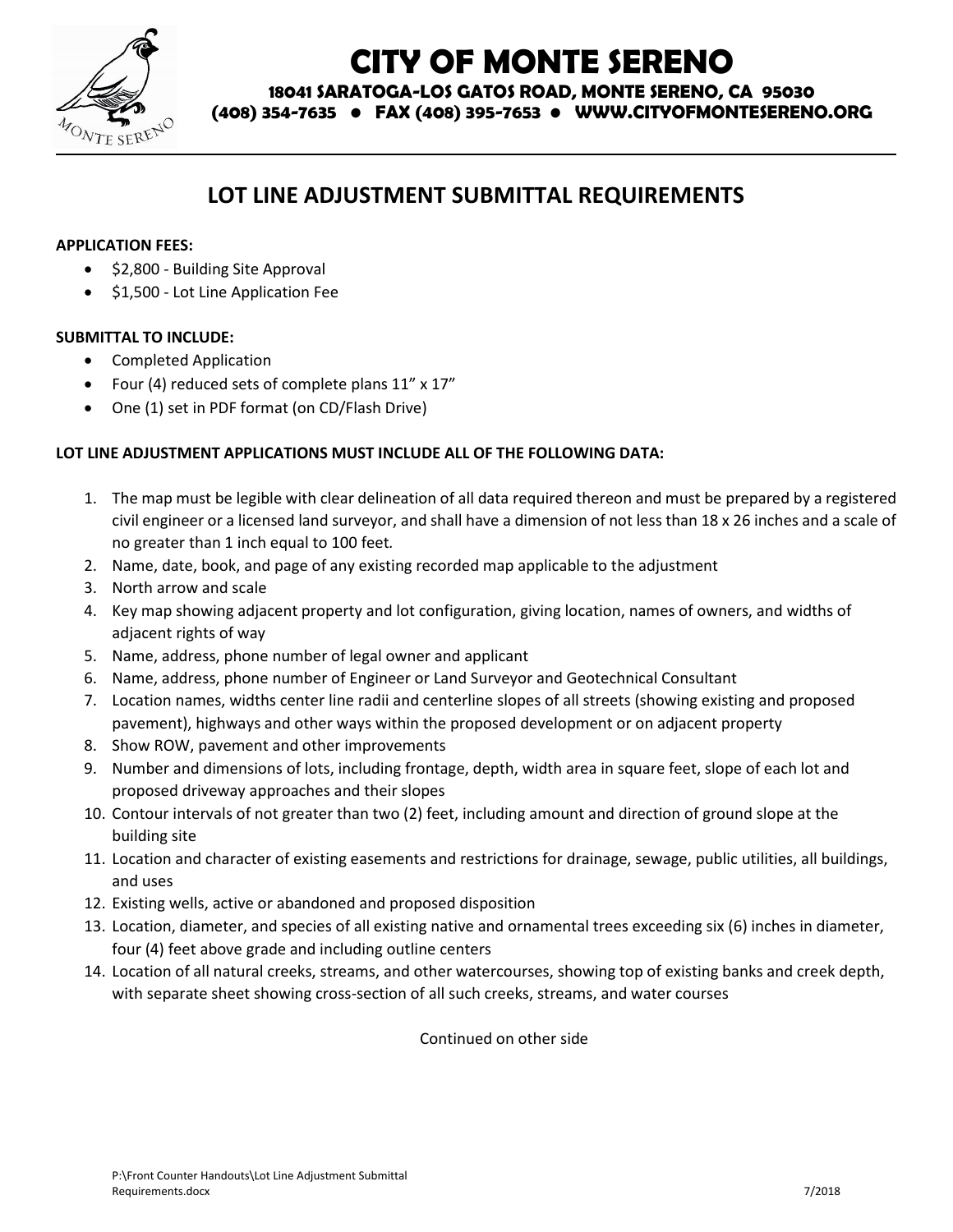

# **CITY OF MONTE SERENO**

**18041 SARATOGA-LOS GATOS ROAD, MONTE SERENO, CA 95030**

**(408) 354-7635 • FAX (408) 395-7653 • WWW.CITYOFMONTESERENO.ORG**

## **LOT LINE ADJUSTMENT SUBMITTAL REQUIREMENTS**

#### **APPLICATION FEES:**

- \$2,800 Building Site Approval
- $\bullet$  \$1,500 Lot Line Application Fee

#### **SUBMITTAL TO INCLUDE:**

- Completed Application
- Four (4) reduced sets of complete plans 11" x 17"
- One (1) set in PDF format (on CD/Flash Drive)

### **LOT LINE ADJUSTMENT APPLICATIONS MUST INCLUDE ALL OF THE FOLLOWING DATA:**

- 1. The map must be legible with clear delineation of all data required thereon and must be prepared by a registered civil engineer or a licensed land surveyor, and shall have a dimension of not less than 18 x 26 inches and a scale of no greater than 1 inch equal to 100 feet*.*
- 2. Name, date, book, and page of any existing recorded map applicable to the adjustment
- 3. North arrow and scale
- 4. Key map showing adjacent property and lot configuration, giving location, names of owners, and widths of adjacent rights of way
- 5. Name, address, phone number of legal owner and applicant
- 6. Name, address, phone number of Engineer or Land Surveyor and Geotechnical Consultant
- 7. Location names, widths center line radii and centerline slopes of all streets (showing existing and proposed pavement), highways and other ways within the proposed development or on adjacent property
- 8. Show ROW, pavement and other improvements
- 9. Number and dimensions of lots, including frontage, depth, width area in square feet, slope of each lot and proposed driveway approaches and their slopes
- 10. Contour intervals of not greater than two (2) feet, including amount and direction of ground slope at the building site
- 11. Location and character of existing easements and restrictions for drainage, sewage, public utilities, all buildings, and uses
- 12. Existing wells, active or abandoned and proposed disposition
- 13. Location, diameter, and species of all existing native and ornamental trees exceeding six (6) inches in diameter, four (4) feet above grade and including outline centers
- 14. Location of all natural creeks, streams, and other watercourses, showing top of existing banks and creek depth, with separate sheet showing cross-section of all such creeks, streams, and water courses

Continued on other side